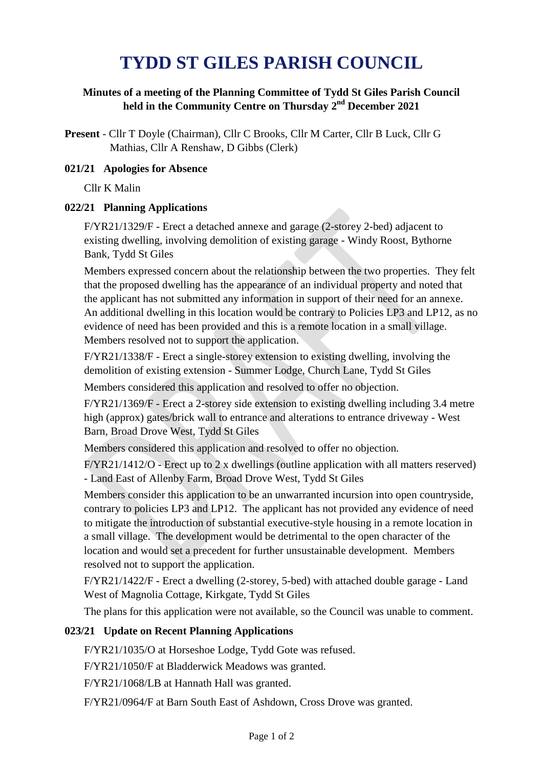# **TYDD ST GILES PARISH COUNCIL**

### **Minutes of a meeting of the Planning Committee of Tydd St Giles Parish Council held in the Community Centre on Thursday 2 nd December 2021**

**Present** - Cllr T Doyle (Chairman), Cllr C Brooks, Cllr M Carter, Cllr B Luck, Cllr G Mathias, Cllr A Renshaw, D Gibbs (Clerk)

#### **021/21 Apologies for Absence**

Cllr K Malin

#### **022/21 Planning Applications**

F/YR21/1329/F - Erect a detached annexe and garage (2-storey 2-bed) adjacent to existing dwelling, involving demolition of existing garage - Windy Roost, Bythorne Bank, Tydd St Giles

Members expressed concern about the relationship between the two properties. They felt that the proposed dwelling has the appearance of an individual property and noted that the applicant has not submitted any information in support of their need for an annexe. An additional dwelling in this location would be contrary to Policies LP3 and LP12, as no evidence of need has been provided and this is a remote location in a small village. Members resolved not to support the application.

F/YR21/1338/F - Erect a single-storey extension to existing dwelling, involving the demolition of existing extension - Summer Lodge, Church Lane, Tydd St Giles

Members considered this application and resolved to offer no objection.

F/YR21/1369/F - Erect a 2-storey side extension to existing dwelling including 3.4 metre high (approx) gates/brick wall to entrance and alterations to entrance driveway - West Barn, Broad Drove West, Tydd St Giles

Members considered this application and resolved to offer no objection.

F/YR21/1412/O - Erect up to 2 x dwellings (outline application with all matters reserved) - Land East of Allenby Farm, Broad Drove West, Tydd St Giles

Members consider this application to be an unwarranted incursion into open countryside, contrary to policies LP3 and LP12. The applicant has not provided any evidence of need to mitigate the introduction of substantial executive-style housing in a remote location in a small village. The development would be detrimental to the open character of the location and would set a precedent for further unsustainable development. Members resolved not to support the application.

F/YR21/1422/F - Erect a dwelling (2-storey, 5-bed) with attached double garage - Land West of Magnolia Cottage, Kirkgate, Tydd St Giles

The plans for this application were not available, so the Council was unable to comment.

#### **023/21 Update on Recent Planning Applications**

F/YR21/1035/O at Horseshoe Lodge, Tydd Gote was refused.

F/YR21/1050/F at Bladderwick Meadows was granted.

F/YR21/1068/LB at Hannath Hall was granted.

F/YR21/0964/F at Barn South East of Ashdown, Cross Drove was granted.